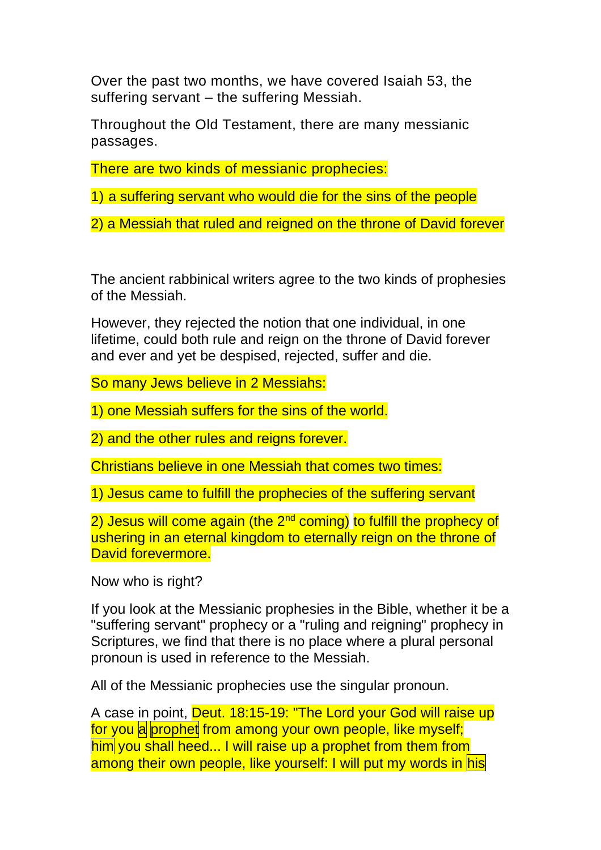Over the past two months, we have covered Isaiah 53, the suffering servant – the suffering Messiah.

Throughout the Old Testament, there are many messianic passages.

There are two kinds of messianic prophecies:

1) a suffering servant who would die for the sins of the people

2) a Messiah that ruled and reigned on the throne of David forever

The ancient rabbinical writers agree to the two kinds of prophesies of the Messiah.

However, they rejected the notion that one individual, in one lifetime, could both rule and reign on the throne of David forever and ever and yet be despised, rejected, suffer and die.

So many Jews believe in 2 Messiahs:

1) one Messiah suffers for the sins of the world.

2) and the other rules and reigns forever.

Christians believe in one Messiah that comes two times:

1) Jesus came to fulfill the prophecies of the suffering servant

2) Jesus will come again (the 2<sup>nd</sup> coming) to fulfill the prophecy of ushering in an eternal kingdom to eternally reign on the throne of David forevermore.

Now who is right?

If you look at the Messianic prophesies in the Bible, whether it be a "suffering servant" prophecy or a "ruling and reigning" prophecy in Scriptures, we find that there is no place where a plural personal pronoun is used in reference to the Messiah.

All of the Messianic prophecies use the singular pronoun.

A case in point, Deut. 18:15-19: "The Lord your God will raise up for you a prophet from among your own people, like myself; him you shall heed... I will raise up a prophet from them from among their own people, like yourself: I will put my words in his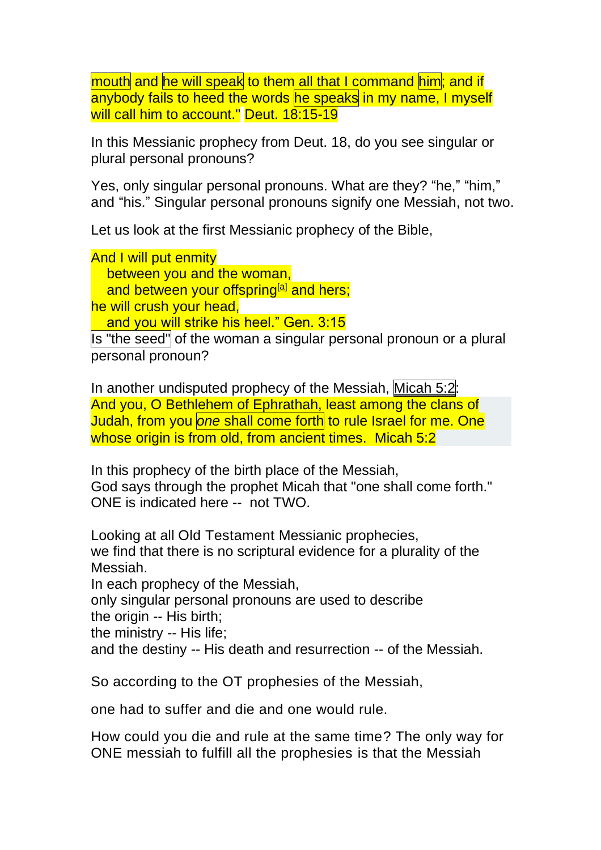mouth and he will speak to them all that I command him; and if anybody fails to heed the words he speaks in my name, I myself will call him to account." Deut. 18:15-19

In this Messianic prophecy from Deut. 18, do you see singular or plural personal pronouns?

Yes, only singular personal pronouns. What are they? "he," "him," and "his." Singular personal pronouns signify one Messiah, not two.

Let us look at the first Messianic prophecy of the Bible,

And I will put enmity between you and the woman, and between your offspring<sup>[\[a\]](https://www.biblegateway.com/passage/?search=Genesis+3%3A15&version=NIV#fen-NIV-71a)</sup> and hers; he will crush your head. and you will strike his heel." Gen. 3:15

Is "the seed" of the woman a singular personal pronoun or a plural personal pronoun?

In another undisputed prophecy of the Messiah, [Micah](https://www.blueletterbible.org/kjv/micah/5/2/s_898002) 5:2: And you, O Bethlehem of Ephrathah, least among the clans of Judah, from you *one* shall come forth to rule Israel for me. One whose origin is from old, from ancient times. Micah 5:2

In this prophecy of the birth place of the Messiah, God says through the prophet Micah that "one shall come forth." ONE is indicated here -- not TWO.

Looking at all Old Testament Messianic prophecies, we find that there is no scriptural evidence for a plurality of the Messiah.

In each prophecy of the Messiah,

only singular personal pronouns are used to describe

the origin -- His birth;

the ministry -- His life;

and the destiny -- His death and resurrection -- of the Messiah.

So according to the OT prophesies of the Messiah,

one had to suffer and die and one would rule.

How could you die and rule at the same time? The only way for ONE messiah to fulfill all the prophesies is that the Messiah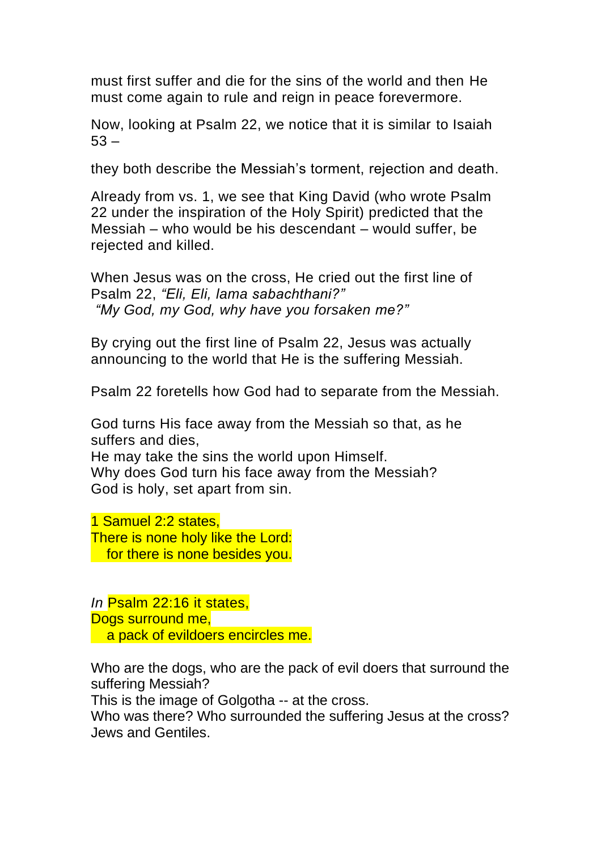must first suffer and die for the sins of the world and then He must come again to rule and reign in peace forevermore.

Now, looking at Psalm 22, we notice that it is similar to Isaiah  $53 -$ 

they both describe the Messiah's torment, rejection and death.

Already from vs. 1, we see that King David (who wrote Psalm 22 under the inspiration of the Holy Spirit) predicted that the Messiah – who would be his descendant – would suffer, be rejected and killed.

When Jesus was on the cross, He cried out the first line of Psalm 22, *"Eli, Eli, lama sabachthani?" "My God, my God, why have you forsaken me?"*

By crying out the first line of Psalm 22, Jesus was actually announcing to the world that He is the suffering Messiah.

Psalm 22 foretells how God had to separate from the Messiah.

God turns His face away from the Messiah so that, as he suffers and dies,

He may take the sins the world upon Himself. Why does God turn his face away from the Messiah? God is holy, set apart from sin.

1 Samuel 2:2 states, There is none holy like the Lord: for there is none besides you.

*In* Psalm 22:16 it states, Dogs surround me, a pack of evildoers encircles me.

Who are the dogs, who are the pack of evil doers that surround the suffering Messiah?

This is the image of Golgotha -- at the cross.

Who was there? Who surrounded the suffering Jesus at the cross? Jews and Gentiles.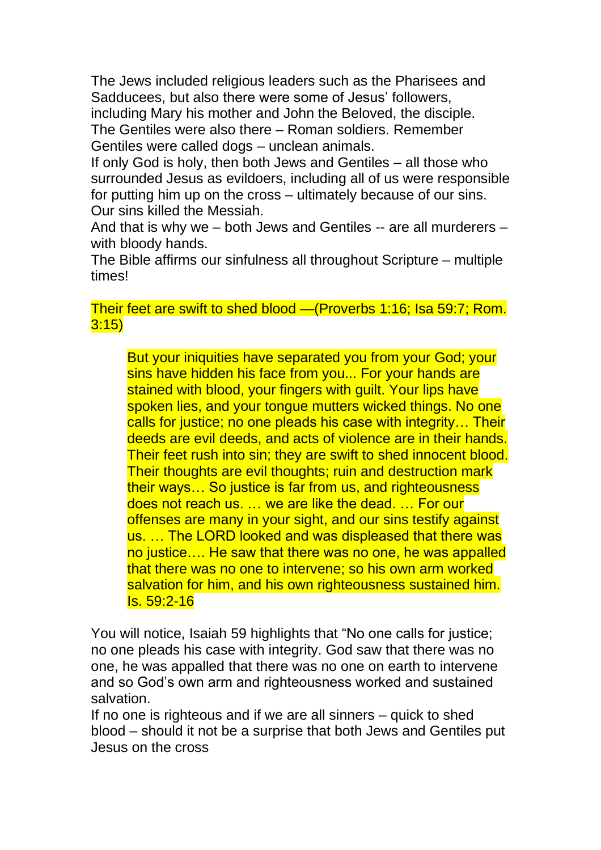The Jews included religious leaders such as the Pharisees and Sadducees, but also there were some of Jesus' followers, including Mary his mother and John the Beloved, the disciple. The Gentiles were also there – Roman soldiers. Remember Gentiles were called dogs – unclean animals.

If only God is holy, then both Jews and Gentiles – all those who surrounded Jesus as evildoers, including all of us were responsible for putting him up on the cross – ultimately because of our sins. Our sins killed the Messiah.

And that is why we – both Jews and Gentiles -- are all murderers – with bloody hands.

The Bible affirms our sinfulness all throughout Scripture – multiple times!

## Their feet are swift to shed blood —(Proverbs 1:16; Isa 59:7; Rom. 3:15)

But your iniquities have separated you from your God; your sins have hidden his face from you... For your hands are stained with blood, your fingers with guilt. Your lips have spoken lies, and your tongue mutters wicked things. No one calls for justice; no one pleads his case with integrity… Their deeds are evil deeds, and acts of violence are in their hands. Their feet rush into sin; they are swift to shed innocent blood. Their thoughts are evil thoughts; ruin and destruction mark their ways… So justice is far from us, and righteousness does not reach us. … we are like the dead. … For our offenses are many in your sight, and our sins testify against us. … The LORD looked and was displeased that there was no justice…. He saw that there was no one, he was appalled that there was no one to intervene; so his own arm worked salvation for him, and his own righteousness sustained him. Is. 59:2-16

You will notice, Isaiah 59 highlights that "No one calls for justice; no one pleads his case with integrity. God saw that there was no one, he was appalled that there was no one on earth to intervene and so God's own arm and righteousness worked and sustained salvation.

If no one is righteous and if we are all sinners – quick to shed blood – should it not be a surprise that both Jews and Gentiles put Jesus on the cross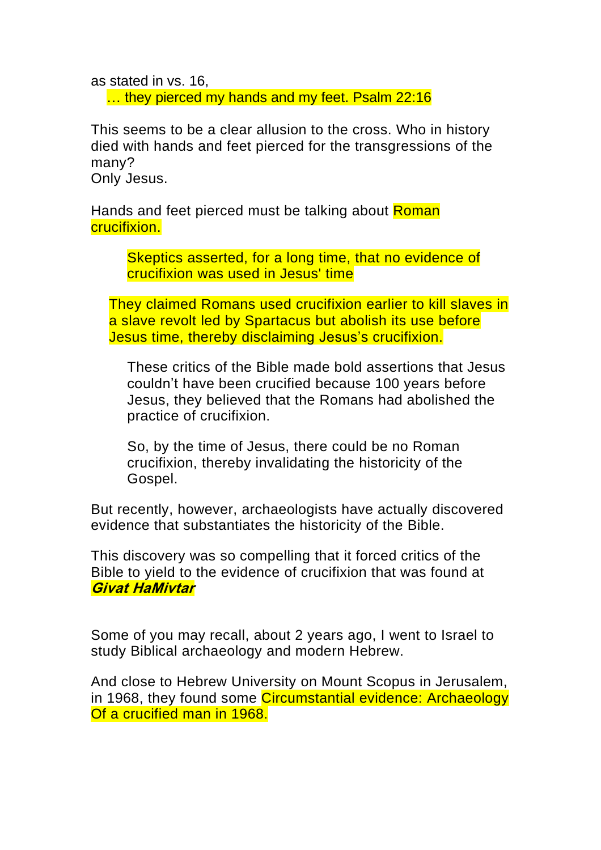as stated in vs. 16, ... they pierced my hands and my feet. Psalm 22:16

This seems to be a clear allusion to the cross. Who in history died with hands and feet pierced for the transgressions of the many?

Only Jesus.

Hands and feet pierced must be talking about Roman crucifixion.

> Skeptics asserted, for a long time, that no evidence of crucifixion was used in Jesus' time

They claimed Romans used crucifixion earlier to kill slaves in a slave revolt led by Spartacus but abolish its use before Jesus time, thereby disclaiming Jesus's crucifixion.

These critics of the Bible made bold assertions that Jesus couldn't have been crucified because 100 years before Jesus, they believed that the Romans had abolished the practice of crucifixion.

So, by the time of Jesus, there could be no Roman crucifixion, thereby invalidating the historicity of the Gospel.

But recently, however, archaeologists have actually discovered evidence that substantiates the historicity of the Bible.

This discovery was so compelling that it forced critics of the Bible to yield to the evidence of crucifixion that was found at **Givat HaMivtar**

Some of you may recall, about 2 years ago, I went to Israel to study Biblical archaeology and modern Hebrew.

And close to Hebrew University on Mount Scopus in Jerusalem, in 1968, they found some Circumstantial evidence: Archaeology Of a crucified man in 1968.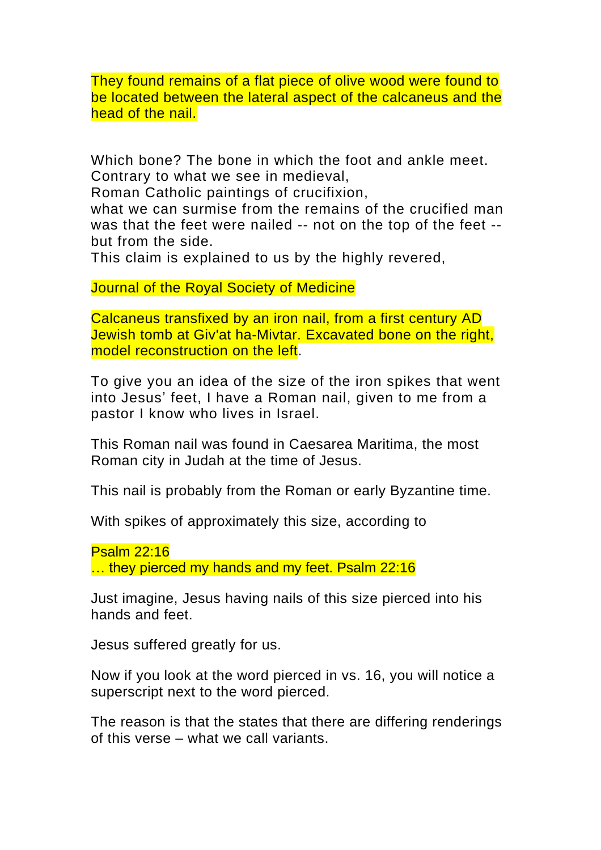They found remains of a flat piece of olive wood were found to be located between the lateral aspect of the calcaneus and the head of the nail.

Which bone? The bone in which the foot and ankle meet. Contrary to what we see in medieval,

Roman Catholic paintings of crucifixion,

what we can surmise from the remains of the crucified man was that the feet were nailed -- not on the top of the feet - but from the side.

This claim is explained to us by the highly revered,

Journal of the Royal Society of Medicine

Calcaneus transfixed by an iron nail, from a first century AD Jewish tomb at Giv'at ha-Mivtar. Excavated bone on the right, model reconstruction on the left.

To give you an idea of the size of the iron spikes that went into Jesus' feet, I have a Roman nail, given to me from a pastor I know who lives in Israel.

This Roman nail was found in Caesarea Maritima, the most Roman city in Judah at the time of Jesus.

This nail is probably from the Roman or early Byzantine time.

With spikes of approximately this size, according to

Psalm 22:16 ... they pierced my hands and my feet. Psalm 22:16

Just imagine, Jesus having nails of this size pierced into his hands and feet.

Jesus suffered greatly for us.

Now if you look at the word pierced in vs. 16, you will notice a superscript next to the word pierced.

The reason is that the states that there are differing renderings of this verse – what we call variants.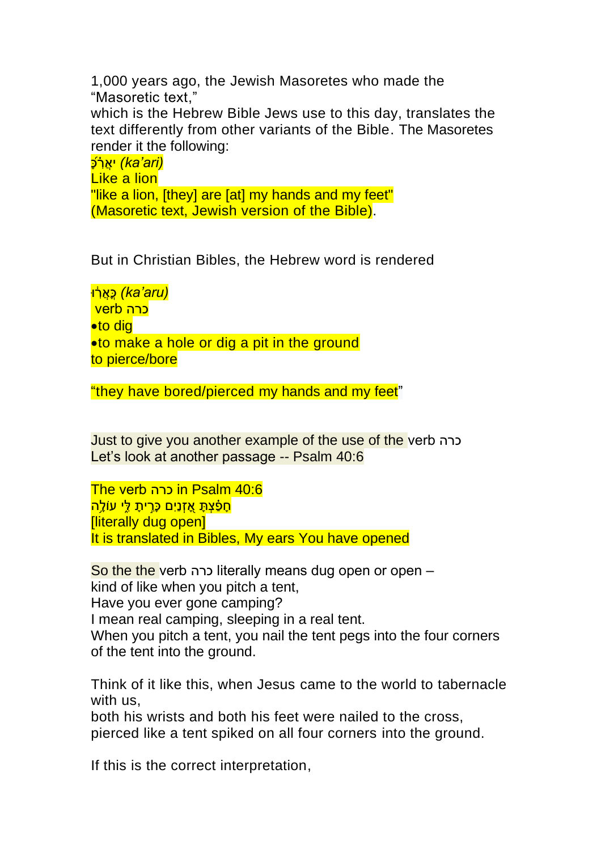1,000 years ago, the Jewish Masoretes who made the "Masoretic text," which is the Hebrew Bible Jews use to this day, translates the text differently from other variants of the Bible. The Masoretes render it the following: י<u>אַרֹפֿ (ka'ari)</u> Like a lion

"like a lion, [they] are [at] my hands and my feet" (Masoretic text, Jewish version of the Bible).

But in Christian Bibles, the Hebrew word is rendered

<u>ּ כָּאֲרָ<del>ּוֹ (ka'aru)</del> (כֵ</u> כרה verb •to dig •to make a hole or dig a pit in the ground to pierce/bore

"they have bored/pierced my hands and my feet"

Just to give you another example of the use of the verb כרה Let's look at another passage -- Psalm 40:6

The verb כרה in Psalm 40:6 <mark>חפֿצת אַזנים כּרית לי עולה</mark> [literally dug open] It is translated in Bibles, My ears You have opened

So the the verb כרה literally means dug open or open – kind of like when you pitch a tent, Have you ever gone camping? I mean real camping, sleeping in a real tent. When you pitch a tent, you nail the tent pegs into the four corners of the tent into the ground.

Think of it like this, when Jesus came to the world to tabernacle with us,

both his wrists and both his feet were nailed to the cross, pierced like a tent spiked on all four corners into the ground.

If this is the correct interpretation,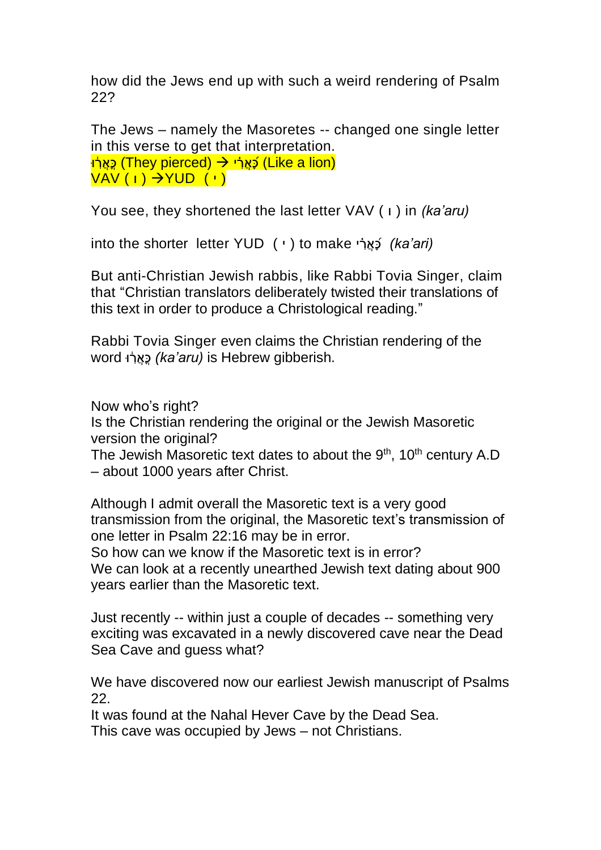how did the Jews end up with such a weird rendering of Psalm 22?

The Jews – namely the Masoretes -- changed one single letter in this verse to get that interpretation. (<u>Like a lion) cֿאַר <del>י → (</del>They pierced) cאַר </u>י  $VAV(1) \rightarrow YUD(1)$ 

You see, they shortened the last letter VAV ( i ) in *(ka'aru)* 

into the shorter letter YUD ( י ( to make י רֲא כ*) ka'ari)*

But anti-Christian Jewish rabbis, like Rabbi Tovia Singer, claim that "Christian translators deliberately twisted their translations of this text in order to produce a Christological reading."

Rabbi Tovia Singer even claims the Christian rendering of the word וּ ִ֔ רֲא כ*) ka'aru)* is Hebrew gibberish.

Now who's right?

Is the Christian rendering the original or the Jewish Masoretic version the original?

The Jewish Masoretic text dates to about the  $9<sup>th</sup>$ , 10<sup>th</sup> century A.D – about 1000 years after Christ.

Although I admit overall the Masoretic text is a very good transmission from the original, the Masoretic text's transmission of one letter in Psalm 22:16 may be in error.

So how can we know if the Masoretic text is in error? We can look at a recently unearthed Jewish text dating about 900 years earlier than the Masoretic text.

Just recently -- within just a couple of decades -- something very exciting was excavated in a newly discovered cave near the Dead Sea Cave and guess what?

We have discovered now our earliest Jewish manuscript of Psalms 22.

It was found at the Nahal Hever Cave by the Dead Sea.

This cave was occupied by Jews – not Christians.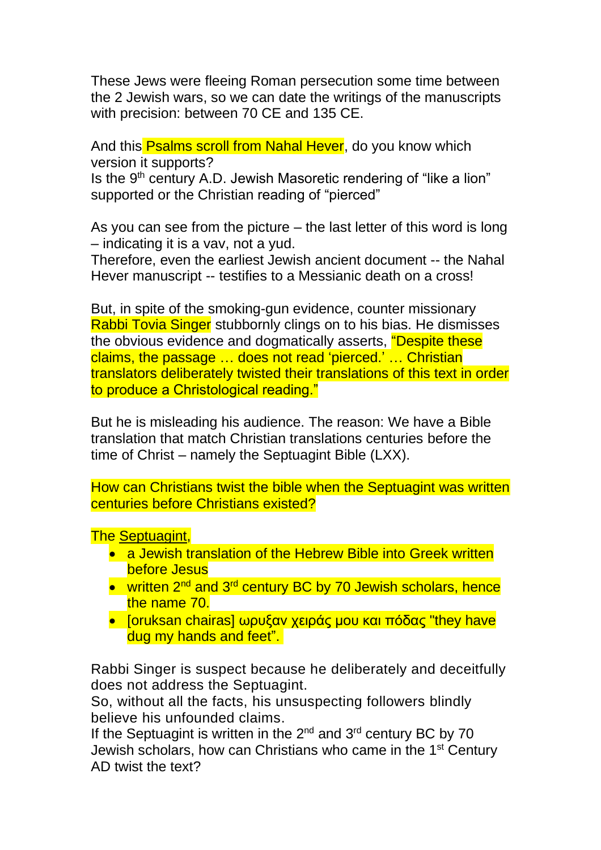These Jews were fleeing Roman persecution some time between the 2 Jewish wars, so we can date the writings of the manuscripts with precision: between 70 CE and 135 CE.

And this Psalms scroll from Nahal Hever, do you know which version it supports?

Is the  $9<sup>th</sup>$  century A.D. Jewish Masoretic rendering of "like a lion" supported or the Christian reading of "pierced"

As you can see from the picture – the last letter of this word is long – indicating it is a vav, not a yud.

Therefore, even the earliest Jewish ancient document -- the Nahal Hever manuscript -- testifies to a Messianic death on a cross!

But, in spite of the smoking-gun evidence, counter missionary Rabbi Tovia Singer stubbornly clings on to his bias. He dismisses the obvious evidence and dogmatically asserts, "Despite these claims, the passage … does not read 'pierced.' … Christian translators deliberately twisted their translations of this text in order to produce a Christological reading."

But he is misleading his audience. The reason: We have a Bible translation that match Christian translations centuries before the time of Christ – namely the Septuagint Bible (LXX).

How can Christians twist the bible when the Septuagint was written centuries before Christians existed?

The [Septuagint,](https://en.wikipedia.org/wiki/Septuagint)

- a Jewish translation of the Hebrew Bible into Greek written before Jesus
- written 2<sup>nd</sup> and 3<sup>rd</sup> century BC by 70 Jewish scholars, hence the name 70.
- [oruksan chairas] ωρυξαν χειράς μου και πόδας "they have dug my hands and feet".

Rabbi Singer is suspect because he deliberately and deceitfully does not address the Septuagint.

So, without all the facts, his unsuspecting followers blindly believe his unfounded claims.

If the Septuagint is written in the  $2^{nd}$  and  $3^{rd}$  century BC by 70 Jewish scholars, how can Christians who came in the 1st Century AD twist the text?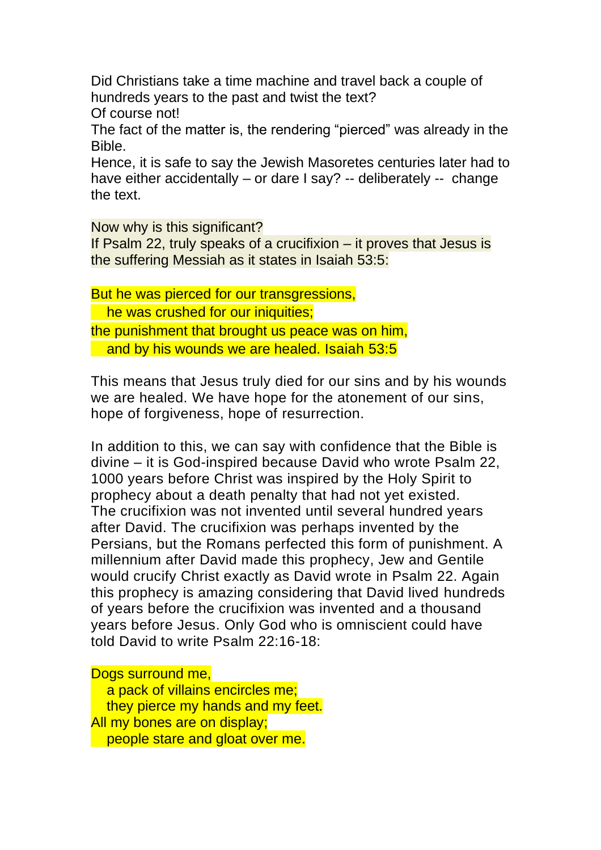Did Christians take a time machine and travel back a couple of hundreds years to the past and twist the text?

Of course not!

The fact of the matter is, the rendering "pierced" was already in the Bible.

Hence, it is safe to say the Jewish Masoretes centuries later had to have either accidentally – or dare I say? -- deliberately -- change the text.

Now why is this significant?

If Psalm 22, truly speaks of a crucifixion – it proves that Jesus is the suffering Messiah as it states in Isaiah 53:5:

But he was pierced for our transgressions, he was crushed for our iniquities; the punishment that brought us peace was on him, and by his wounds we are healed. Isaiah 53:5

This means that Jesus truly died for our sins and by his wounds we are healed. We have hope for the atonement of our sins, hope of forgiveness, hope of resurrection.

In addition to this, we can say with confidence that the Bible is divine – it is God-inspired because David who wrote Psalm 22, 1000 years before Christ was inspired by the Holy Spirit to prophecy about a death penalty that had not yet existed. The crucifixion was not invented until several hundred years after David. The crucifixion was perhaps invented by the Persians, but the Romans perfected this form of punishment. A millennium after David made this prophecy, Jew and Gentile would crucify Christ exactly as David wrote in Psalm 22. Again this prophecy is amazing considering that David lived hundreds of years before the crucifixion was invented and a thousand years before Jesus. Only God who is omniscient could have told David to write Psalm 22:16-18:

Dogs surround me, a pack of villains encircles me; they pierce my hands and my feet. All my bones are on display; people stare and gloat over me.